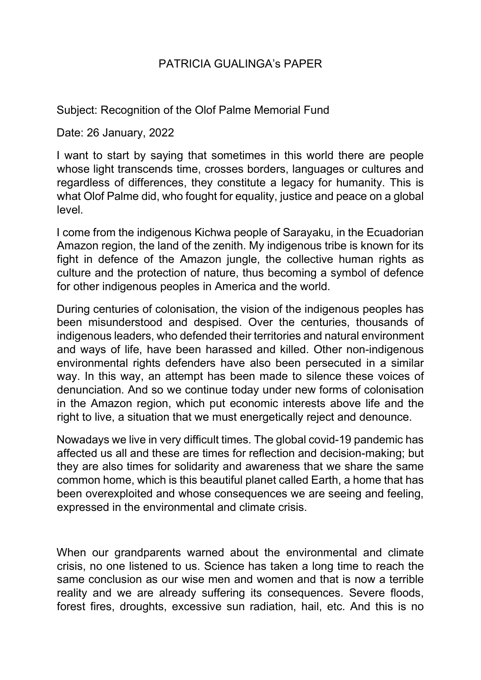## PATRICIA GUALINGA's PAPER

Subject: Recognition of the Olof Palme Memorial Fund

Date: 26 January, 2022

I want to start by saying that sometimes in this world there are people whose light transcends time, crosses borders, languages or cultures and regardless of differences, they constitute a legacy for humanity. This is what Olof Palme did, who fought for equality, justice and peace on a global level.

I come from the indigenous Kichwa people of Sarayaku, in the Ecuadorian Amazon region, the land of the zenith. My indigenous tribe is known for its fight in defence of the Amazon jungle, the collective human rights as culture and the protection of nature, thus becoming a symbol of defence for other indigenous peoples in America and the world.

During centuries of colonisation, the vision of the indigenous peoples has been misunderstood and despised. Over the centuries, thousands of indigenous leaders, who defended their territories and natural environment and ways of life, have been harassed and killed. Other non-indigenous environmental rights defenders have also been persecuted in a similar way. In this way, an attempt has been made to silence these voices of denunciation. And so we continue today under new forms of colonisation in the Amazon region, which put economic interests above life and the right to live, a situation that we must energetically reject and denounce.

Nowadays we live in very difficult times. The global covid-19 pandemic has affected us all and these are times for reflection and decision-making; but they are also times for solidarity and awareness that we share the same common home, which is this beautiful planet called Earth, a home that has been overexploited and whose consequences we are seeing and feeling, expressed in the environmental and climate crisis.

When our grandparents warned about the environmental and climate crisis, no one listened to us. Science has taken a long time to reach the same conclusion as our wise men and women and that is now a terrible reality and we are already suffering its consequences. Severe floods, forest fires, droughts, excessive sun radiation, hail, etc. And this is no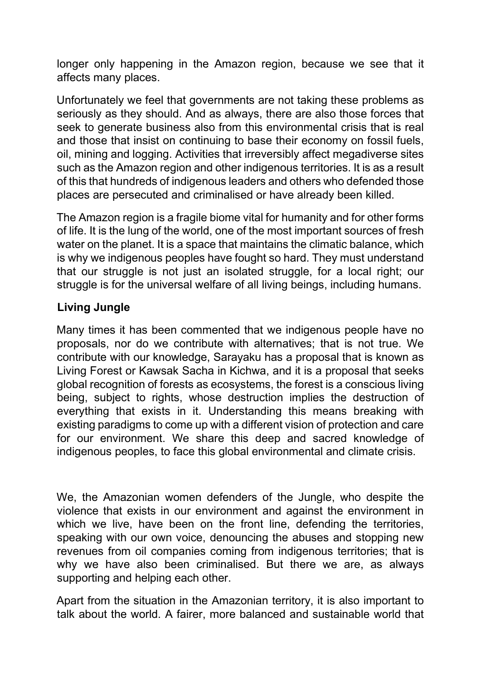longer only happening in the Amazon region, because we see that it affects many places.

Unfortunately we feel that governments are not taking these problems as seriously as they should. And as always, there are also those forces that seek to generate business also from this environmental crisis that is real and those that insist on continuing to base their economy on fossil fuels, oil, mining and logging. Activities that irreversibly affect megadiverse sites such as the Amazon region and other indigenous territories. It is as a result of this that hundreds of indigenous leaders and others who defended those places are persecuted and criminalised or have already been killed.

The Amazon region is a fragile biome vital for humanity and for other forms of life. It is the lung of the world, one of the most important sources of fresh water on the planet. It is a space that maintains the climatic balance, which is why we indigenous peoples have fought so hard. They must understand that our struggle is not just an isolated struggle, for a local right; our struggle is for the universal welfare of all living beings, including humans.

## **Living Jungle**

Many times it has been commented that we indigenous people have no proposals, nor do we contribute with alternatives; that is not true. We contribute with our knowledge, Sarayaku has a proposal that is known as Living Forest or Kawsak Sacha in Kichwa, and it is a proposal that seeks global recognition of forests as ecosystems, the forest is a conscious living being, subject to rights, whose destruction implies the destruction of everything that exists in it. Understanding this means breaking with existing paradigms to come up with a different vision of protection and care for our environment. We share this deep and sacred knowledge of indigenous peoples, to face this global environmental and climate crisis.

We, the Amazonian women defenders of the Jungle, who despite the violence that exists in our environment and against the environment in which we live, have been on the front line, defending the territories, speaking with our own voice, denouncing the abuses and stopping new revenues from oil companies coming from indigenous territories; that is why we have also been criminalised. But there we are, as always supporting and helping each other.

Apart from the situation in the Amazonian territory, it is also important to talk about the world. A fairer, more balanced and sustainable world that